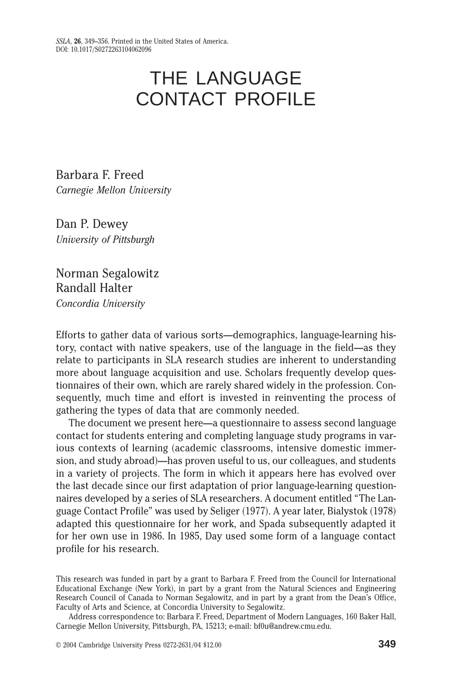# THE LANGUAGE CONTACT PROFILE

Barbara F. Freed *Carnegie Mellon University*

Dan P. Dewey *University of Pittsburgh*

Norman Segalowitz Randall Halter *Concordia University*

Efforts to gather data of various sorts—demographics, language-learning history, contact with native speakers, use of the language in the field—as they relate to participants in SLA research studies are inherent to understanding more about language acquisition and use. Scholars frequently develop questionnaires of their own, which are rarely shared widely in the profession+ Consequently, much time and effort is invested in reinventing the process of gathering the types of data that are commonly needed.

The document we present here—a questionnaire to assess second language contact for students entering and completing language study programs in various contexts of learning (academic classrooms, intensive domestic immersion, and study abroad)—has proven useful to us, our colleagues, and students in a variety of projects. The form in which it appears here has evolved over the last decade since our first adaptation of prior language-learning questionnaires developed by a series of SLA researchers. A document entitled "The Language Contact Profile" was used by Seliger (1977). A year later, Bialystok (1978) adapted this questionnaire for her work, and Spada subsequently adapted it for her own use in 1986. In 1985, Day used some form of a language contact profile for his research.

This research was funded in part by a grant to Barbara F. Freed from the Council for International Educational Exchange (New York), in part by a grant from the Natural Sciences and Engineering Research Council of Canada to Norman Segalowitz, and in part by a grant from the Dean's Office, Faculty of Arts and Science, at Concordia University to Segalowitz.

Address correspondence to: Barbara F. Freed, Department of Modern Languages, 160 Baker Hall, Carnegie Mellon University, Pittsburgh, PA, 15213; e-mail: bf0u@andrew.cmu.edu.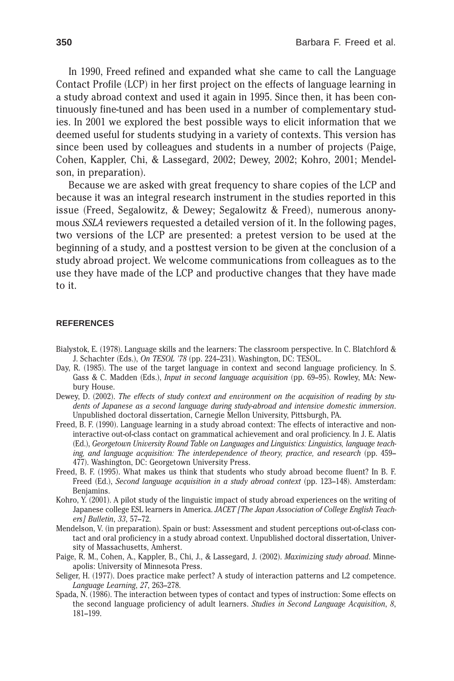In 1990, Freed refined and expanded what she came to call the Language Contact Profile (LCP) in her first project on the effects of language learning in a study abroad context and used it again in 1995. Since then, it has been continuously fine-tuned and has been used in a number of complementary studies. In 2001 we explored the best possible ways to elicit information that we deemed useful for students studying in a variety of contexts. This version has since been used by colleagues and students in a number of projects (Paige, Cohen, Kappler, Chi, & Lassegard, 2002; Dewey, 2002; Kohro, 2001; Mendelson, in preparation).

Because we are asked with great frequency to share copies of the LCP and because it was an integral research instrument in the studies reported in this issue (Freed, Segalowitz,  $&$  Dewey; Segalowitz  $&$  Freed), numerous anonymous *SSLA* reviewers requested a detailed version of it. In the following pages, two versions of the LCP are presented: a pretest version to be used at the beginning of a study, and a posttest version to be given at the conclusion of a study abroad project. We welcome communications from colleagues as to the use they have made of the LCP and productive changes that they have made to it.

#### **REFERENCES**

- Bialystok, E.  $(1978)$ . Language skills and the learners: The classroom perspective. In C. Blatchford & J. Schachter (Eds.), *On TESOL '78* (pp. 224–231). Washington, DC: TESOL.
- Day, R. (1985). The use of the target language in context and second language proficiency. In S. Gass & C. Madden (Eds.), *Input in second language acquisition* (pp. 69–95). Rowley, MA: Newbury House.
- Dewey, D. (2002). The effects of study context and environment on the acquisition of reading by students of Japanese as a second language during study-abroad and intensive domestic immersion. Unpublished doctoral dissertation, Carnegie Mellon University, Pittsburgh, PA+
- Freed, B. F. (1990). Language learning in a study abroad context: The effects of interactive and noninteractive out-of-class contact on grammatical achievement and oral proficiency. In J. E. Alatis (Ed.), Georgetown University Round Table on Languages and Linguistics: Linguistics, language teach*ing, and language acquisition: The interdependence of theory, practice, and research* (pp. 459– 477). Washington, DC: Georgetown University Press.
- Freed, B. F. (1995). What makes us think that students who study abroad become fluent? In B. F. Freed (Ed.), *Second language acquisition in a study abroad context* (pp. 123–148). Amsterdam: Benjamins.
- Kohro, Y. (2001). A pilot study of the linguistic impact of study abroad experiences on the writing of Japanese college ESL learners in America. *JACET [The Japan Association of College English Teachers] Bulletin*, *33*, 57–72+
- Mendelson, V. (in preparation). Spain or bust: Assessment and student perceptions out-of-class contact and oral proficiency in a study abroad context. Unpublished doctoral dissertation, University of Massachusetts, Amherst.
- Paige, R. M., Cohen, A., Kappler, B., Chi, J., & Lassegard, J. (2002). *Maximizing study abroad*. Minneapolis: University of Minnesota Press.
- Seliger, H. (1977). Does practice make perfect? A study of interaction patterns and L2 competence. *Language Learning*, *27*, 263–278+
- Spada, N. (1986). The interaction between types of contact and types of instruction: Some effects on the second language proficiency of adult learners+ *Studies in Second Language Acquisition*, *8*, 181–199+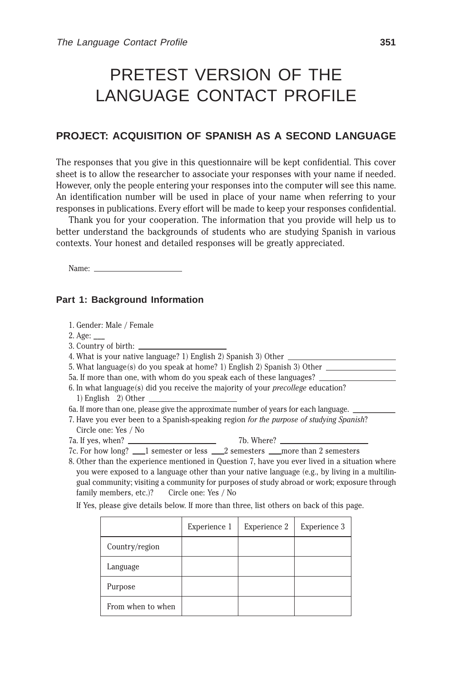## PRETEST VERSION OF THE LANGUAGE CONTACT PROFILE

## **PROJECT: ACQUISITION OF SPANISH AS A SECOND LANGUAGE**

The responses that you give in this questionnaire will be kept confidential. This cover sheet is to allow the researcher to associate your responses with your name if needed. However, only the people entering your responses into the computer will see this name. An identification number will be used in place of your name when referring to your responses in publications. Every effort will be made to keep your responses confidential.

Thank you for your cooperation. The information that you provide will help us to better understand the backgrounds of students who are studying Spanish in various contexts. Your honest and detailed responses will be greatly appreciated.

Name:

#### **Part 1: Background Information**

1. Gender: Male / Female

2. Age:

3. Country of birth:  $\overline{\phantom{a}}$ 

4. What is your native language? 1) English 2) Spanish 3) Other  $\equiv$ 

5. What language $(s)$  do you speak at home? 1) English 2) Spanish 3) Other

5a. If more than one, with whom do you speak each of these languages?

6. In what language(s) did you receive the majority of your *precollege* education? 1) English  $2$  Other

6a + If more than one, please give the approximate number of years for each language

7. Have you ever been to a Spanish-speaking region *for the purpose of studying Spanish*?  $\frac{1}{\sinh\left(\frac{1}{2}\right)}$ Circle one: Yes / No<br>7a. If yes, when?

7a+ If yes, when? 7b+ Where?

7c. For how long? <u>\_\_\_</u>1 semester or less \_\_\_2 semesters \_\_\_more than 2 semesters

8. Other than the experience mentioned in Question 7, have you ever lived in a situation where you were exposed to a language other than your native language  $(e.g., by living in a multilin$ gual community; visiting a community for purposes of study abroad or work; exposure through family members, etc.)? Circle one: Yes / No

If Yes, please give details below. If more than three, list others on back of this page.

|                   | Experience 1 | Experience 2 | Experience 3 |
|-------------------|--------------|--------------|--------------|
| Country/region    |              |              |              |
| Language          |              |              |              |
| Purpose           |              |              |              |
| From when to when |              |              |              |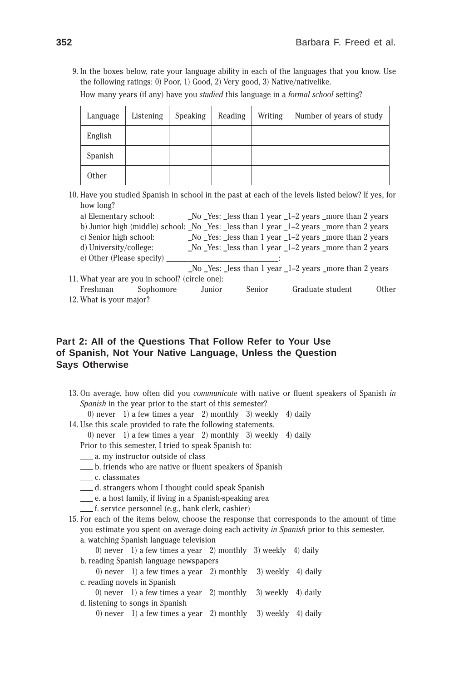9. In the boxes below, rate your language ability in each of the languages that you know. Use the following ratings:  $0$ ) Poor, 1) Good, 2) Very good, 3) Native/nativelike.

How many years (if any) have you *studied* this language in a *formal school* setting?

| Language | Listening | Speaking | Reading | Writing | Number of years of study |
|----------|-----------|----------|---------|---------|--------------------------|
| English  |           |          |         |         |                          |
| Spanish  |           |          |         |         |                          |
| Other    |           |          |         |         |                          |

10. Have you studied Spanish in school in the past at each of the levels listed below? If yes, for how long?

| a) Elementary school:                                                                                                                      | $\Delta$ No $\Delta$ Yes: $\Delta$ less than 1 year $\Delta$ -2 years $\Delta$ more than 2 years |
|--------------------------------------------------------------------------------------------------------------------------------------------|--------------------------------------------------------------------------------------------------|
|                                                                                                                                            | b) Junior high (middle) school: No Yes: less than 1 year 1–2 years more than 2 years             |
| c) Senior high school:                                                                                                                     | No Yes: less than 1 year 1–2 years _more than 2 years                                            |
| d) University/college:                                                                                                                     | $\mu$ No Yes: Less than 1 year $\mu$ -2 years more than 2 years                                  |
| e) Other (Please specify)                                                                                                                  |                                                                                                  |
|                                                                                                                                            | _No _Yes: _less than 1 year _1-2 years _more than 2 years                                        |
| $\mathbf{W}$ , the set of the set of the set of the set of $\mathbf{W}$ (state $\mathbf{W}$ is a set of the set of the set of $\mathbf{W}$ |                                                                                                  |

11. What year are you in school? (circle one):<br>Freshman Sophomore Junior Freshman Sophomore Junior Senior Graduate student Other 12. What is your major?

### **Part 2: All of the Questions That Follow Refer to Your Use of Spanish, Not Your Native Language, Unless the Question Says Otherwise**

- 13+ On average, how often did you *communicate* with native or fluent speakers of Spanish *in Spanish* in the year prior to the start of this semester? 0) never 1) a few times a year 2) monthly 3) weekly 4) daily
- 14. Use this scale provided to rate the following statements.

0) never 1) a few times a year 2) monthly 3) weekly 4) daily

Prior to this semester, I tried to speak Spanish to:

- $\frac{1}{2}$  a. my instructor outside of class
- b. friends who are native or fluent speakers of Spanish
- \_\_\_\_ c. classmates
- d. strangers whom I thought could speak Spanish
- e. a host family, if living in a Spanish-speaking area
- $f$ . service personnel (e.g., bank clerk, cashier)
- 15. For each of the items below, choose the response that corresponds to the amount of time you estimate you spent on average doing each activity *in Spanish* prior to this semester. a. watching Spanish language television

0) never 1) a few times a year 2) monthly 3) weekly 4) daily b, reading Spanish language newspapers

0) never 1) a few times a year 2) monthly 3) weekly 4) daily c. reading novels in Spanish

0) never 1) a few times a year 2) monthly 3) weekly 4) daily d. listening to songs in Spanish

0) never 1) a few times a year 2) monthly 3) weekly 4) daily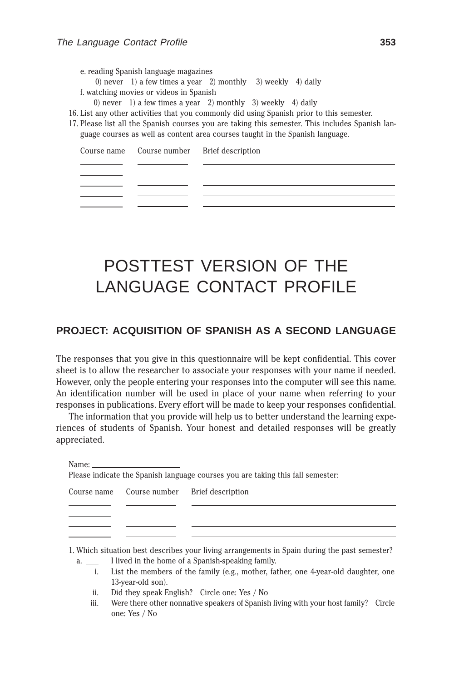e. reading Spanish language magazines 0) never 1) a few times a year 2) monthly 3) weekly 4) daily f. watching movies or videos in Spanish

0) never 1) a few times a year 2) monthly 3) weekly 4) daily

|             |               | 0) never 1) a few times a year 2) monthly 3) weekly 4) daily                                 |
|-------------|---------------|----------------------------------------------------------------------------------------------|
|             |               | List any other activities that you commonly did using Spanish prior to this semester.        |
|             |               | Please list all the Spanish courses you are taking this semester. This includes Spanish lan- |
|             |               | guage courses as well as content area courses taught in the Spanish language.                |
| Course name | Course number | Brief description                                                                            |
|             |               |                                                                                              |
|             |               |                                                                                              |
|             |               |                                                                                              |
|             |               |                                                                                              |
|             |               |                                                                                              |
|             |               |                                                                                              |
|             |               |                                                                                              |

## POSTTEST VERSION OF THE LANGUAGE CONTACT PROFILE

## **PROJECT: ACQUISITION OF SPANISH AS A SECOND LANGUAGE**

The responses that you give in this questionnaire will be kept confidential. This cover sheet is to allow the researcher to associate your responses with your name if needed. However, only the people entering your responses into the computer will see this name. An identification number will be used in place of your name when referring to your responses in publications. Every effort will be made to keep your responses confidential.

The information that you provide will help us to better understand the learning experiences of students of Spanish. Your honest and detailed responses will be greatly appreciated.

| ×<br>٧ |
|--------|
|--------|

|             | Name: the contract of the contract of the contract of the contract of the contract of the contract of the contract of the contract of the contract of the contract of the contract of the contract of the contract of the cont | Please indicate the Spanish language courses you are taking this fall semester.               |
|-------------|--------------------------------------------------------------------------------------------------------------------------------------------------------------------------------------------------------------------------------|-----------------------------------------------------------------------------------------------|
| Course name | Course number                                                                                                                                                                                                                  | Brief description                                                                             |
|             |                                                                                                                                                                                                                                |                                                                                               |
|             |                                                                                                                                                                                                                                |                                                                                               |
|             |                                                                                                                                                                                                                                |                                                                                               |
|             |                                                                                                                                                                                                                                | 1. Which situation best describes your living arrangements in Spain during the past semester? |

- a. 
I lived in the home of a Spanish-speaking family.<br>
i. List the members of the family (e.g., mother, fail
	- List the members of the family (e.g., mother, father, one 4-year-old daughter, one 13-year-old son).
	- ii. Did they speak English? Circle one: Yes  $/$  No
	- iii. Were there other nonnative speakers of Spanish living with your host family? Circle one: Yes / No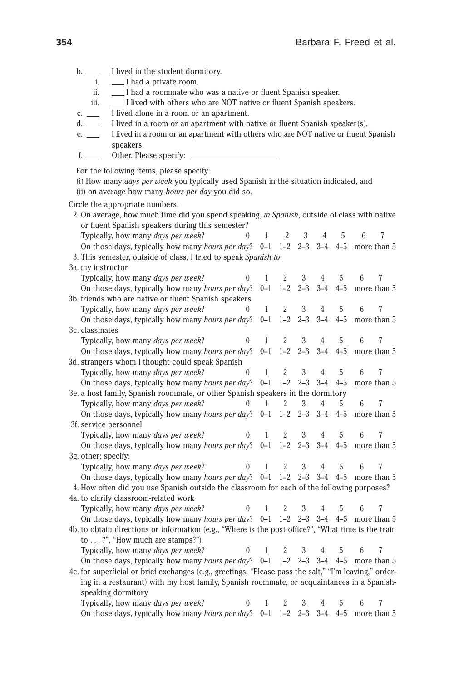b. 
I lived in the student dormitory.<br>
i. I had a private room. I had a private room. ii.  $\Box$  I had a roommate who was a native or fluent Spanish speaker. iii.  $\Box$  I lived with others who are NOT native or fluent Spanish speakers.  $c_{\cdot}$  I lived alone in a room or an apartment. d.  $\perp$  I lived in a room or an apartment with native or fluent Spanish speaker(s). e.  $\Box$  I lived in a room or an apartment with others who are NOT native or fluent Spanish speakers. f.  $\_\_$  Other. Please specify:  $\_\_$ For the following items, please specify: ~i! How many *days per week* you typically used Spanish in the situation indicated, and (ii) on average how many *hours per day* you did so. Circle the appropriate numbers. 2+ On average, how much time did you spend speaking, *in Spanish*, outside of class with native or fluent Spanish speakers during this semester? Typically, how many *days per week*?  $0 \t 1 \t 2 \t 3 \t 4 \t 5 \t 6 \t 7$ <br>On those days, typically how many *hours per day*?  $0-1 \t 1-2 \t 2-3 \t 3-4 \t 4-5$  more than 5 On those days, typically how many *hours per day*? 0–1 1–2 2–3 3–4 4–5 3+ This semester, outside of class, I tried to speak *Spanish to*: 3a. my instructor Typically, how many *days per week*?  $0 \t 1 \t 2 \t 3 \t 4 \t 5 \t 6 \t 7$ <br>On those days, typically how many *hours per day*?  $0-1 \t 1-2 \t 2-3 \t 3-4 \t 4-5$  more than 5 On those days, typically how many *hours per day*? 3b. friends who are native or fluent Spanish speakers Typically, how many *days per week*? 0 1 2 3 4 5 6 7<br>On those days, typically how many *hours per day*? 0–1 1–2 2–3 3–4 4–5 more than 5 On those days, typically how many *hours per day*? 3c. classmates Typically, how many *days per week*?  $0 \t 1 \t 2 \t 3 \t 4 \t 5 \t 6 \t 7$ <br>On those days, typically how many *hours per day*?  $0-1 \t 1-2 \t 2-3 \t 3-4 \t 4-5$  more than 5 On those days, typically how many *hours per day*?  $0-1$  1–2 2–3 3d. strangers whom I thought could speak Spanish Typically, how many *days per week*? 012345 67 On those days, typically how many *hours per day*? 0–1 1–2 2–3 3–4 4–5 more than 5 3e. a host family, Spanish roommate, or other Spanish speakers in the dormitory<br>Typically, how many *days per week*?  $0 \quad 1 \quad 2 \quad 3 \quad 4 \quad 5$ Typically, how many *days per week*? 012345 67 On those days, typically how many *hours per day*? 0–1 1–2 2–3 3–4 4–5 more than 5 3f. service personnel Typically, how many *days per week*? 0 1 2 3 4 5 6 7<br>On those days, typically how many *hours per day*? 0–1 1–2 2–3 3–4 4–5 more than 5 On those days, typically how many *hours per day*?  $0-1$  1–2 3g. other; specify: Typically, how many *days per week*? 012345 67 On those days, typically how many *hours per day*?  $0-1$  1–2 2–3 3–4 4–5 more than 5 4. How often did you use Spanish outside the classroom for each of the following purposes? 4a. to clarify classroom-related work Typically, how many *days per week*? 012345 67 On those days, typically how many *hours per day*? 0–1 1–2 2–3 3–4 4–5 more than 5 4b. to obtain directions or information (e.g., "Where is the post office?", "What time is the train to  $\ldots$  ?", "How much are stamps?") Typically, how many *days per week*? 012345 67 On those days, typically how many *hours per day*? 0–1 1–2 2–3 3–4 4–5 more than 5 4c. for superficial or brief exchanges (e.g., greetings, "Please pass the salt," "I'm leaving," ordering in a restaurant) with my host family, Spanish roommate, or acquaintances in a Spanishspeaking dormitory Typically, how many *days per week*? 012345 67 On those days, typically how many *hours per day*? 0–1 1–2 2–3 3–4 4–5 more than 5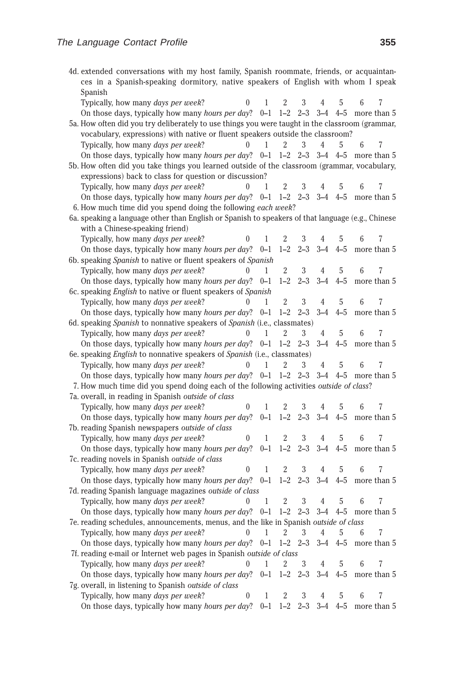| 4d. extended conversations with my host family, Spanish roommate, friends, or acquaintan-<br>ces in a Spanish-speaking dormitory, native speakers of English with whom I speak<br>Spanish |              |                |                         |         |           |   |                       |
|-------------------------------------------------------------------------------------------------------------------------------------------------------------------------------------------|--------------|----------------|-------------------------|---------|-----------|---|-----------------------|
| Typically, how many days per week?<br>0                                                                                                                                                   | 1            | 2              | 3                       | 4       | 5         | 6 |                       |
| On those days, typically how many <i>hours per day</i> ? $0-1$                                                                                                                            |              | $1 - 2$        | $2 - 3$                 |         | $3-4$ 4-5 |   | more than 5           |
| 5a. How often did you try deliberately to use things you were taught in the classroom (grammar,                                                                                           |              |                |                         |         |           |   |                       |
| vocabulary, expressions) with native or fluent speakers outside the classroom?                                                                                                            |              |                |                         |         |           |   |                       |
| Typically, how many <i>days per week</i> ?<br>$\Omega$                                                                                                                                    | 1            | 2              | 3                       | 4       | 5         | 6 |                       |
| On those days, typically how many hours per day? 0-1                                                                                                                                      |              |                | $1-2$ $2-3$ $3-4$ $4-5$ |         |           |   | more than 5           |
| 5b. How often did you take things you learned outside of the classroom (grammar, vocabulary,                                                                                              |              |                |                         |         |           |   |                       |
| expressions) back to class for question or discussion?                                                                                                                                    |              |                |                         |         |           |   |                       |
| Typically, how many days per week?                                                                                                                                                        | 1            | 2              | 3                       |         | 5         |   |                       |
| On those days, typically how many <i>hours per day</i> ? $0-1$ 1-2 2-3 3-4 4-5                                                                                                            |              |                |                         |         |           |   | more than 5           |
| 6. How much time did you spend doing the following each week?                                                                                                                             |              |                |                         |         |           |   |                       |
| 6a. speaking a language other than English or Spanish to speakers of that language (e.g., Chinese                                                                                         |              |                |                         |         |           |   |                       |
| with a Chinese-speaking friend)                                                                                                                                                           |              |                |                         |         |           |   |                       |
| Typically, how many days per week?<br>$\boldsymbol{0}$                                                                                                                                    | 1            | $\overline{2}$ | 3                       |         | 5         | 6 |                       |
| On those days, typically how many hours per day? 0-1                                                                                                                                      |              | $1 - 2$        | $2 - 3$                 | $3 - 4$ | $4 - 5$   |   | more than 5           |
| 6b. speaking Spanish to native or fluent speakers of Spanish                                                                                                                              |              |                |                         |         |           |   |                       |
| Typically, how many days per week?<br>$\theta$                                                                                                                                            | 1            | 2              | 3                       | 4       | 5         | 6 |                       |
| On those days, typically how many hours per day?                                                                                                                                          | $0 - 1$      | $1 - 2$        | $2 - 3$                 | $3 - 4$ | $4 - 5$   |   | more than 5           |
| 6c. speaking <i>English</i> to native or fluent speakers of <i>Spanish</i>                                                                                                                |              |                |                         |         |           |   |                       |
| Typically, how many days per week?<br>$\mathbf{0}$                                                                                                                                        | $\mathbf{1}$ | $\overline{2}$ | 3                       | 4       | 5         | 6 | 7                     |
| On those days, typically how many hours per day?                                                                                                                                          | $0 - 1$      | $1 - 2$        | $2 - 3$                 | $3 - 4$ | $4 - 5$   |   | more than 5           |
| 6d. speaking Spanish to nonnative speakers of Spanish (i.e., classmates)                                                                                                                  |              |                |                         |         |           |   |                       |
| Typically, how many days per week?<br>$\Omega$                                                                                                                                            | 1            | 2              | 3                       | 4       | 5         | 6 | 7                     |
| On those days, typically how many <i>hours per day</i> ? $0-1$                                                                                                                            |              |                | $1-2$ $2-3$ $3-4$ $4-5$ |         |           |   | more than 5           |
| 6e. speaking <i>English</i> to nonnative speakers of <i>Spanish</i> (i.e., classmates)                                                                                                    |              |                |                         |         |           |   |                       |
| Typically, how many days per week?<br>$\theta$                                                                                                                                            | 1            | 2              | 3                       | 4       | 5         | 6 |                       |
| On those days, typically how many <i>hours per day</i> ? $0-1$                                                                                                                            |              | $1 - 2$        | $2 - 3$                 | $3 - 4$ | $4 - 5$   |   | more than 5           |
| 7. How much time did you spend doing each of the following activities outside of class?                                                                                                   |              |                |                         |         |           |   |                       |
| 7a. overall, in reading in Spanish outside of class                                                                                                                                       |              |                |                         |         |           |   |                       |
| Typically, how many days per week?<br>0                                                                                                                                                   | 1            | 2              | 3                       | 4       | 5         | 6 | 7                     |
| On those days, typically how many <i>hours per day</i> ? $0-1$ 1-2 2-3                                                                                                                    |              |                |                         |         |           |   | $3-4$ 4-5 more than 5 |
| 7b. reading Spanish newspapers outside of class                                                                                                                                           |              |                |                         |         |           |   |                       |
| Typically, how many days per week?<br>0                                                                                                                                                   | 1            | 2              | 3                       | 4       | 5         | 6 |                       |
| On those days, typically how many hours per day?                                                                                                                                          | $0 - 1$      | $1 - 2$        | $2 - 3$                 | $3 - 4$ | $4 - 5$   |   | more than 5           |
| 7c. reading novels in Spanish outside of class<br>0                                                                                                                                       | 1            | 2              | 3                       | 4       | 5         | 6 |                       |
| Typically, how many days per week?<br>On those days, typically how many hours per day?                                                                                                    | $0 - 1$      | $1 - 2$        | $2 - 3$                 | $3 - 4$ | $4 - 5$   |   | more than 5           |
| 7d. reading Spanish language magazines outside of class                                                                                                                                   |              |                |                         |         |           |   |                       |
| Typically, how many days per week?                                                                                                                                                        | 1            | $\overline{2}$ | 3                       | 4       | 5         | 6 | 7                     |
| On those days, typically how many hours per day?                                                                                                                                          | $0 - 1$      | $1 - 2$        | $2 - 3$                 | $3 - 4$ | $4 - 5$   |   | more than 5           |
| 7e. reading schedules, announcements, menus, and the like in Spanish outside of class                                                                                                     |              |                |                         |         |           |   |                       |
| Typically, how many days per week?<br>$\theta$                                                                                                                                            | 1            | $\overline{2}$ | 3                       | 4       | 5         | 6 |                       |
| On those days, typically how many <i>hours per day</i> ? 0–1                                                                                                                              |              | $1 - 2$        | $2 - 3$                 | $3 - 4$ | $4 - 5$   |   | more than 5           |
| 7f. reading e-mail or Internet web pages in Spanish outside of class                                                                                                                      |              |                |                         |         |           |   |                       |
| Typically, how many days per week?<br>0                                                                                                                                                   | 1            | 2              | 3                       | 4       | 5         | 6 |                       |
| On those days, typically how many hours per day?                                                                                                                                          |              | $0-1$ 1-2 2-3  |                         | $3 - 4$ | $4 - 5$   |   | more than 5           |
| 7g. overall, in listening to Spanish outside of class                                                                                                                                     |              |                |                         |         |           |   |                       |
| Typically, how many days per week?<br>$\overline{0}$                                                                                                                                      | 1            | 2              | 3                       | 4       | 5         | 6 | 7                     |
| On those days, typically how many hours per day? $0-1$                                                                                                                                    |              | $1 - 2$        | $2 - 3$                 | $3 - 4$ | $4 - 5$   |   | more than 5           |